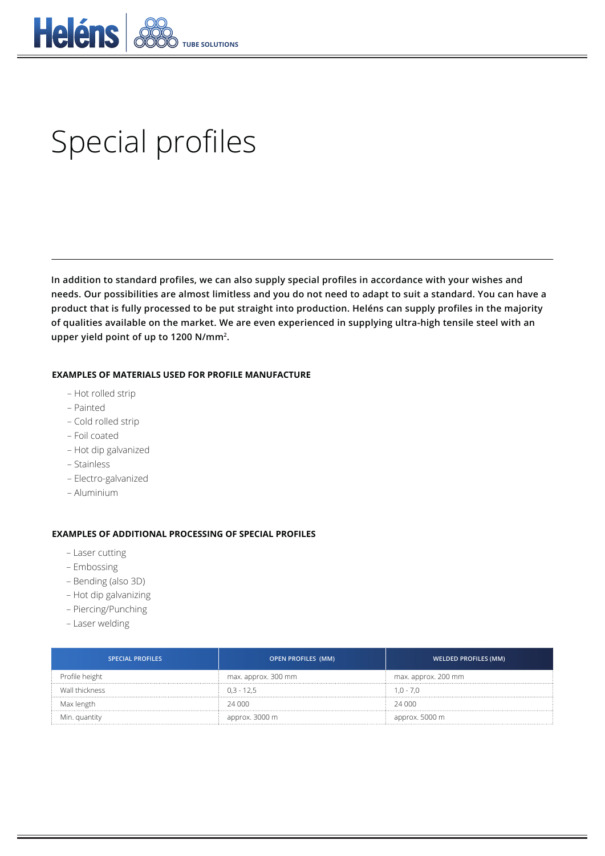

## Special profiles

**In addition to standard profiles, we can also supply special profiles in accordance with your wishes and needs. Our possibilities are almost limitless and you do not need to adapt to suit a standard. You can have a product that is fully processed to be put straight into production. Heléns can supply profiles in the majority of qualities available on the market. We are even experienced in supplying ultra-high tensile steel with an upper yield point of up to 1200 N/mm2.**

## **EXAMPLES OF MATERIALS USED FOR PROFILE MANUFACTURE**

- Hot rolled strip
- Painted
- Cold rolled strip
- Foil coated
- Hot dip galvanized
- Stainless
- Electro-galvanized
- Aluminium

## **EXAMPLES OF ADDITIONAL PROCESSING OF SPECIAL PROFILES**

- Laser cutting
- Embossing
- Bending (also 3D)
- Hot dip galvanizing
- Piercing/Punching
- Laser welding

| <b>SPECIAL PROFILES</b> | OPEN PROFILES (MM)  | <b>WELDED PROFILES (MM)</b> |  |
|-------------------------|---------------------|-----------------------------|--|
| Profile height          | max. approx. 300 mm | max. approx. 200 mm         |  |
| Wall thickness          | 03-125              | $1.0 - 7.0$                 |  |
| Max length              | 24 000              | 24,000                      |  |
| Min. quantity           | approx. 3000 m      | approx. 5000 m              |  |